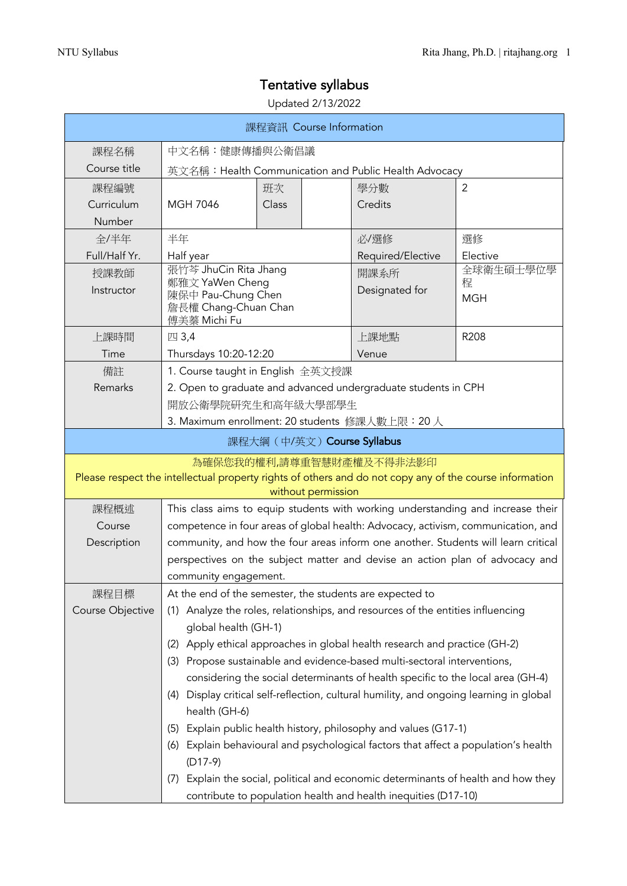# Tentative syllabus

## Updated 2/13/2022

| 課程資訊 Course Information                                                                                                                                   |                                                                                                         |                                                          |                                                                                                                                                  |                              |
|-----------------------------------------------------------------------------------------------------------------------------------------------------------|---------------------------------------------------------------------------------------------------------|----------------------------------------------------------|--------------------------------------------------------------------------------------------------------------------------------------------------|------------------------------|
| 課程名稱                                                                                                                                                      | 中文名稱:健康傳播與公衛倡議                                                                                          |                                                          |                                                                                                                                                  |                              |
| Course title                                                                                                                                              | 英文名稱: Health Communication and Public Health Advocacy                                                   |                                                          |                                                                                                                                                  |                              |
| 課程編號                                                                                                                                                      |                                                                                                         | 班次                                                       | 學分數                                                                                                                                              | $\overline{2}$               |
| Curriculum                                                                                                                                                | <b>MGH 7046</b>                                                                                         | Class                                                    | Credits                                                                                                                                          |                              |
| Number                                                                                                                                                    |                                                                                                         |                                                          |                                                                                                                                                  |                              |
| 全/半年                                                                                                                                                      | 半年<br>選修<br>必/選修                                                                                        |                                                          |                                                                                                                                                  |                              |
| Full/Half Yr.                                                                                                                                             | Elective<br>Half year<br>Required/Elective                                                              |                                                          |                                                                                                                                                  |                              |
| 授課教師<br>Instructor                                                                                                                                        | 張竹芩 JhuCin Rita Jhang<br>鄭雅文 YaWen Cheng<br>陳保中 Pau-Chung Chen<br>詹長權 Chang-Chuan Chan<br>傅美蓁 Michi Fu  |                                                          | 開課系所<br>Designated for                                                                                                                           | 全球衛生碩士學位學<br>程<br><b>MGH</b> |
| 上課時間                                                                                                                                                      | 四 3,4                                                                                                   |                                                          | 上課地點                                                                                                                                             | R208                         |
| Time                                                                                                                                                      | Thursdays 10:20-12:20                                                                                   |                                                          | Venue                                                                                                                                            |                              |
| 備註                                                                                                                                                        |                                                                                                         | 1. Course taught in English 全英文授課                        |                                                                                                                                                  |                              |
| Remarks                                                                                                                                                   |                                                                                                         | 開放公衛學院研究生和高年級大學部學生                                       | 2. Open to graduate and advanced undergraduate students in CPH                                                                                   |                              |
|                                                                                                                                                           |                                                                                                         | 3. Maximum enrollment: 20 students 修課人數上限: 20人           |                                                                                                                                                  |                              |
|                                                                                                                                                           |                                                                                                         | 課程大綱 (中/英文) Course Syllabus                              |                                                                                                                                                  |                              |
| 為確保您我的權利,請尊重智慧財產權及不得非法影印<br>Please respect the intellectual property rights of others and do not copy any of the course information<br>without permission |                                                                                                         |                                                          |                                                                                                                                                  |                              |
| 課程概述                                                                                                                                                      | This class aims to equip students with working understanding and increase their                         |                                                          |                                                                                                                                                  |                              |
| Course                                                                                                                                                    | competence in four areas of global health: Advocacy, activism, communication, and                       |                                                          |                                                                                                                                                  |                              |
| Description                                                                                                                                               | community, and how the four areas inform one another. Students will learn critical                      |                                                          |                                                                                                                                                  |                              |
|                                                                                                                                                           | perspectives on the subject matter and devise an action plan of advocacy and                            |                                                          |                                                                                                                                                  |                              |
|                                                                                                                                                           | community engagement.                                                                                   |                                                          |                                                                                                                                                  |                              |
| 課程目標                                                                                                                                                      |                                                                                                         | At the end of the semester, the students are expected to |                                                                                                                                                  |                              |
| Course Objective                                                                                                                                          | (1) Analyze the roles, relationships, and resources of the entities influencing<br>global health (GH-1) |                                                          |                                                                                                                                                  |                              |
|                                                                                                                                                           | (2)                                                                                                     |                                                          | Apply ethical approaches in global health research and practice (GH-2)                                                                           |                              |
|                                                                                                                                                           | (3)                                                                                                     |                                                          | Propose sustainable and evidence-based multi-sectoral interventions,                                                                             |                              |
|                                                                                                                                                           |                                                                                                         |                                                          | considering the social determinants of health specific to the local area (GH-4)                                                                  |                              |
|                                                                                                                                                           | (4)<br>health (GH-6)                                                                                    |                                                          | Display critical self-reflection, cultural humility, and ongoing learning in global                                                              |                              |
|                                                                                                                                                           | (5)                                                                                                     |                                                          | Explain public health history, philosophy and values (G17-1)                                                                                     |                              |
|                                                                                                                                                           | (6)                                                                                                     |                                                          | Explain behavioural and psychological factors that affect a population's health                                                                  |                              |
|                                                                                                                                                           | $(D17-9)$                                                                                               |                                                          |                                                                                                                                                  |                              |
|                                                                                                                                                           | (7)                                                                                                     |                                                          | Explain the social, political and economic determinants of health and how they<br>contribute to population health and health inequities (D17-10) |                              |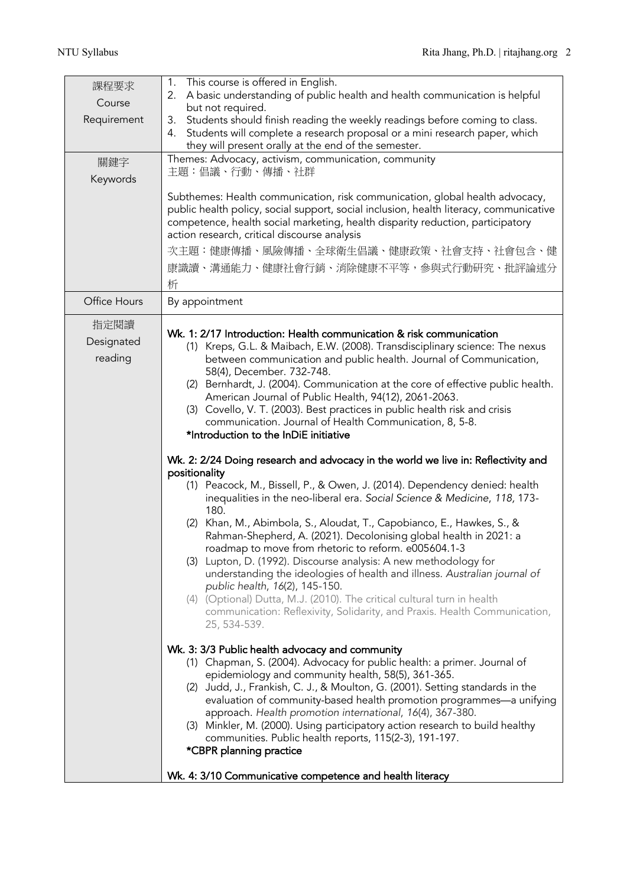| 課程要求<br>Course<br>Requirement<br>關鍵字<br>Keywords | This course is offered in English.<br>1.<br>A basic understanding of public health and health communication is helpful<br>2.<br>but not required.<br>Students should finish reading the weekly readings before coming to class.<br>3.<br>Students will complete a research proposal or a mini research paper, which<br>4.<br>they will present orally at the end of the semester.<br>Themes: Advocacy, activism, communication, community<br>主題:倡議、行動、傳播、社群<br>Subthemes: Health communication, risk communication, global health advocacy,<br>public health policy, social support, social inclusion, health literacy, communicative<br>competence, health social marketing, health disparity reduction, participatory<br>action research, critical discourse analysis<br>次主題:健康傳播、風險傳播、全球衛生倡議、健康政策、社會支持、社會包含、健<br>康識讀、溝通能力、健康社會行銷、消除健康不平等,參與式行動研究、批評論述分<br>析                                                                                                                                                                                                                                                                                                                                                                                                                                                                                                                                                                                                                                                                                                                                                                                                                                                                                                                                                                                                                                                                                                                                                  |
|--------------------------------------------------|-----------------------------------------------------------------------------------------------------------------------------------------------------------------------------------------------------------------------------------------------------------------------------------------------------------------------------------------------------------------------------------------------------------------------------------------------------------------------------------------------------------------------------------------------------------------------------------------------------------------------------------------------------------------------------------------------------------------------------------------------------------------------------------------------------------------------------------------------------------------------------------------------------------------------------------------------------------------------------------------------------------------------------------------------------------------------------------------------------------------------------------------------------------------------------------------------------------------------------------------------------------------------------------------------------------------------------------------------------------------------------------------------------------------------------------------------------------------------------------------------------------------------------------------------------------------------------------------------------------------------------------------------------------------------------------------------------------------------------------------------------------------------------------------------------------------------------------------------------------------------------------------------------------------------------------------------------------------------------------------------------------------|
| Office Hours                                     | By appointment                                                                                                                                                                                                                                                                                                                                                                                                                                                                                                                                                                                                                                                                                                                                                                                                                                                                                                                                                                                                                                                                                                                                                                                                                                                                                                                                                                                                                                                                                                                                                                                                                                                                                                                                                                                                                                                                                                                                                                                                  |
| 指定閱讀<br>Designated<br>reading                    | Wk. 1: 2/17 Introduction: Health communication & risk communication<br>(1) Kreps, G.L. & Maibach, E.W. (2008). Transdisciplinary science: The nexus<br>between communication and public health. Journal of Communication,<br>58(4), December. 732-748.<br>(2) Bernhardt, J. (2004). Communication at the core of effective public health.<br>American Journal of Public Health, 94(12), 2061-2063.<br>(3) Covello, V. T. (2003). Best practices in public health risk and crisis<br>communication. Journal of Health Communication, 8, 5-8.<br>*Introduction to the InDiE initiative<br>Wk. 2: 2/24 Doing research and advocacy in the world we live in: Reflectivity and<br>positionality<br>(1) Peacock, M., Bissell, P., & Owen, J. (2014). Dependency denied: health<br>inequalities in the neo-liberal era. Social Science & Medicine, 118, 173-<br>180.<br>(2) Khan, M., Abimbola, S., Aloudat, T., Capobianco, E., Hawkes, S., &<br>Rahman-Shepherd, A. (2021). Decolonising global health in 2021: a<br>roadmap to move from rhetoric to reform. e005604.1-3<br>(3) Lupton, D. (1992). Discourse analysis: A new methodology for<br>understanding the ideologies of health and illness. Australian journal of<br>public health, 16(2), 145-150.<br>(4) (Optional) Dutta, M.J. (2010). The critical cultural turn in health<br>communication: Reflexivity, Solidarity, and Praxis. Health Communication,<br>25, 534-539.<br>Wk. 3: 3/3 Public health advocacy and community<br>(1) Chapman, S. (2004). Advocacy for public health: a primer. Journal of<br>epidemiology and community health, 58(5), 361-365.<br>(2) Judd, J., Frankish, C. J., & Moulton, G. (2001). Setting standards in the<br>evaluation of community-based health promotion programmes-a unifying<br>approach. Health promotion international, 16(4), 367-380.<br>(3) Minkler, M. (2000). Using participatory action research to build healthy<br>communities. Public health reports, 115(2-3), 191-197.<br>*CBPR planning practice |
|                                                  | Wk. 4: 3/10 Communicative competence and health literacy                                                                                                                                                                                                                                                                                                                                                                                                                                                                                                                                                                                                                                                                                                                                                                                                                                                                                                                                                                                                                                                                                                                                                                                                                                                                                                                                                                                                                                                                                                                                                                                                                                                                                                                                                                                                                                                                                                                                                        |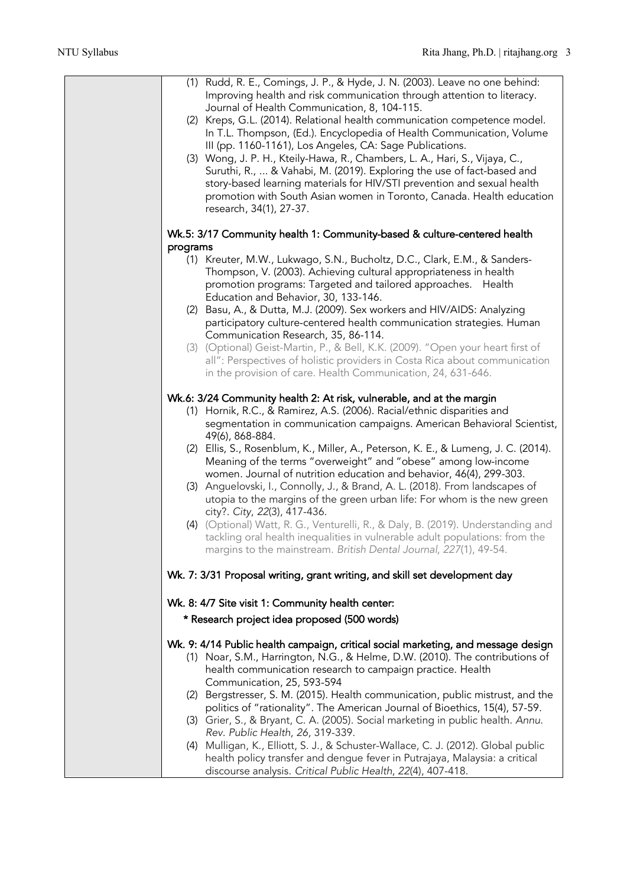| (1) Rudd, R. E., Comings, J. P., & Hyde, J. N. (2003). Leave no one behind:<br>Improving health and risk communication through attention to literacy.<br>Journal of Health Communication, 8, 104-115.<br>(2) Kreps, G.L. (2014). Relational health communication competence model.<br>In T.L. Thompson, (Ed.). Encyclopedia of Health Communication, Volume<br>III (pp. 1160-1161), Los Angeles, CA: Sage Publications.<br>(3) Wong, J. P. H., Kteily-Hawa, R., Chambers, L. A., Hari, S., Vijaya, C.,<br>Suruthi, R.,  & Vahabi, M. (2019). Exploring the use of fact-based and<br>story-based learning materials for HIV/STI prevention and sexual health<br>promotion with South Asian women in Toronto, Canada. Health education<br>research, 34(1), 27-37. |
|-----------------------------------------------------------------------------------------------------------------------------------------------------------------------------------------------------------------------------------------------------------------------------------------------------------------------------------------------------------------------------------------------------------------------------------------------------------------------------------------------------------------------------------------------------------------------------------------------------------------------------------------------------------------------------------------------------------------------------------------------------------------|
| Wk.5: 3/17 Community health 1: Community-based & culture-centered health                                                                                                                                                                                                                                                                                                                                                                                                                                                                                                                                                                                                                                                                                        |
| programs<br>(1) Kreuter, M.W., Lukwago, S.N., Bucholtz, D.C., Clark, E.M., & Sanders-<br>Thompson, V. (2003). Achieving cultural appropriateness in health<br>promotion programs: Targeted and tailored approaches. Health<br>Education and Behavior, 30, 133-146.                                                                                                                                                                                                                                                                                                                                                                                                                                                                                              |
| (2) Basu, A., & Dutta, M.J. (2009). Sex workers and HIV/AIDS: Analyzing<br>participatory culture-centered health communication strategies. Human                                                                                                                                                                                                                                                                                                                                                                                                                                                                                                                                                                                                                |
| Communication Research, 35, 86-114.<br>(3) (Optional) Geist-Martin, P., & Bell, K.K. (2009). "Open your heart first of<br>all": Perspectives of holistic providers in Costa Rica about communication<br>in the provision of care. Health Communication, 24, 631-646.                                                                                                                                                                                                                                                                                                                                                                                                                                                                                            |
| Wk.6: 3/24 Community health 2: At risk, vulnerable, and at the margin                                                                                                                                                                                                                                                                                                                                                                                                                                                                                                                                                                                                                                                                                           |
| (1) Hornik, R.C., & Ramirez, A.S. (2006). Racial/ethnic disparities and<br>segmentation in communication campaigns. American Behavioral Scientist,<br>49(6), 868-884.                                                                                                                                                                                                                                                                                                                                                                                                                                                                                                                                                                                           |
| (2) Ellis, S., Rosenblum, K., Miller, A., Peterson, K. E., & Lumeng, J. C. (2014).<br>Meaning of the terms "overweight" and "obese" among low-income<br>women. Journal of nutrition education and behavior, 46(4), 299-303.                                                                                                                                                                                                                                                                                                                                                                                                                                                                                                                                     |
| (3) Anguelovski, I., Connolly, J., & Brand, A. L. (2018). From landscapes of<br>utopia to the margins of the green urban life: For whom is the new green<br>city?. City, 22(3), 417-436.                                                                                                                                                                                                                                                                                                                                                                                                                                                                                                                                                                        |
| (4) (Optional) Watt, R. G., Venturelli, R., & Daly, B. (2019). Understanding and<br>tackling oral health inequalities in vulnerable adult populations: from the<br>margins to the mainstream. British Dental Journal, 227(1), 49-54.                                                                                                                                                                                                                                                                                                                                                                                                                                                                                                                            |
| Wk. 7: 3/31 Proposal writing, grant writing, and skill set development day                                                                                                                                                                                                                                                                                                                                                                                                                                                                                                                                                                                                                                                                                      |
| Wk. 8: 4/7 Site visit 1: Community health center:                                                                                                                                                                                                                                                                                                                                                                                                                                                                                                                                                                                                                                                                                                               |
| * Research project idea proposed (500 words)                                                                                                                                                                                                                                                                                                                                                                                                                                                                                                                                                                                                                                                                                                                    |
| Wk. 9: 4/14 Public health campaign, critical social marketing, and message design<br>(1) Noar, S.M., Harrington, N.G., & Helme, D.W. (2010). The contributions of<br>health communication research to campaign practice. Health<br>Communication, 25, 593-594                                                                                                                                                                                                                                                                                                                                                                                                                                                                                                   |
| (2) Bergstresser, S. M. (2015). Health communication, public mistrust, and the<br>politics of "rationality". The American Journal of Bioethics, 15(4), 57-59.<br>(3) Grier, S., & Bryant, C. A. (2005). Social marketing in public health. Annu.<br>Rev. Public Health, 26, 319-339.                                                                                                                                                                                                                                                                                                                                                                                                                                                                            |
| (4) Mulligan, K., Elliott, S. J., & Schuster-Wallace, C. J. (2012). Global public<br>health policy transfer and dengue fever in Putrajaya, Malaysia: a critical<br>discourse analysis. Critical Public Health, 22(4), 407-418.                                                                                                                                                                                                                                                                                                                                                                                                                                                                                                                                  |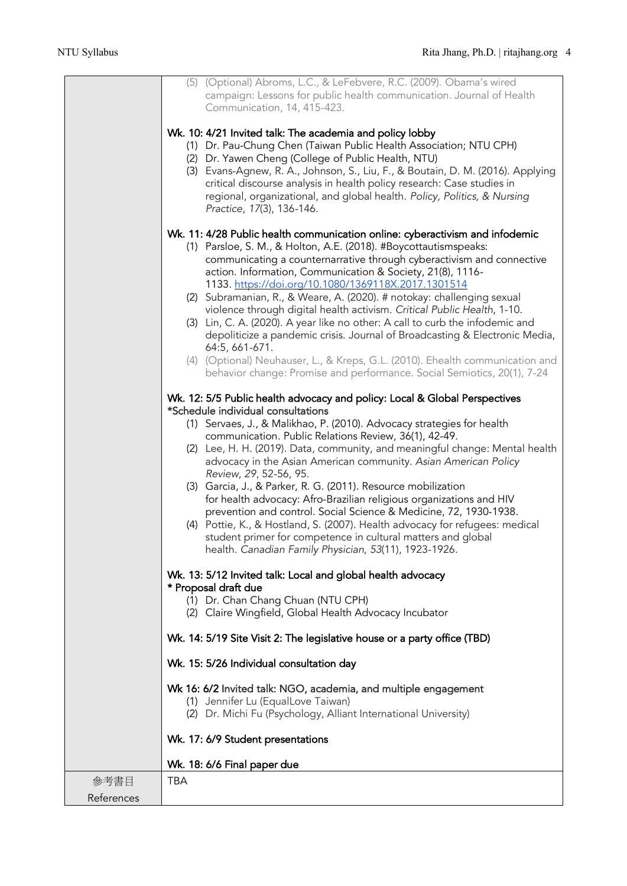|            | (5) (Optional) Abroms, L.C., & LeFebvere, R.C. (2009). Obama's wired<br>campaign: Lessons for public health communication. Journal of Health<br>Communication, 14, 415-423. |
|------------|-----------------------------------------------------------------------------------------------------------------------------------------------------------------------------|
|            | Wk. 10: 4/21 Invited talk: The academia and policy lobby                                                                                                                    |
|            | (1) Dr. Pau-Chung Chen (Taiwan Public Health Association; NTU CPH)                                                                                                          |
|            | (2) Dr. Yawen Cheng (College of Public Health, NTU)<br>(3) Evans-Agnew, R. A., Johnson, S., Liu, F., & Boutain, D. M. (2016). Applying                                      |
|            | critical discourse analysis in health policy research: Case studies in                                                                                                      |
|            | regional, organizational, and global health. Policy, Politics, & Nursing<br>Practice, 17(3), 136-146.                                                                       |
|            |                                                                                                                                                                             |
|            | Wk. 11: 4/28 Public health communication online: cyberactivism and infodemic<br>(1) Parsloe, S. M., & Holton, A.E. (2018). #Boycottautismspeaks:                            |
|            | communicating a counternarrative through cyberactivism and connective                                                                                                       |
|            | action. Information, Communication & Society, 21(8), 1116-<br>1133. https://doi.org/10.1080/1369118X.2017.1301514                                                           |
|            | (2) Subramanian, R., & Weare, A. (2020). # notokay: challenging sexual                                                                                                      |
|            | violence through digital health activism. Critical Public Health, 1-10.<br>(3) Lin, C. A. (2020). A year like no other: A call to curb the infodemic and                    |
|            | depoliticize a pandemic crisis. Journal of Broadcasting & Electronic Media,                                                                                                 |
|            | 64:5, 661-671.<br>(4) (Optional) Neuhauser, L., & Kreps, G.L. (2010). Ehealth communication and                                                                             |
|            | behavior change: Promise and performance. Social Semiotics, 20(1), 7-24                                                                                                     |
|            | Wk. 12: 5/5 Public health advocacy and policy: Local & Global Perspectives<br>*Schedule individual consultations                                                            |
|            | (1) Servaes, J., & Malikhao, P. (2010). Advocacy strategies for health                                                                                                      |
|            | communication. Public Relations Review, 36(1), 42-49.<br>(2) Lee, H. H. (2019). Data, community, and meaningful change: Mental health                                       |
|            | advocacy in the Asian American community. Asian American Policy                                                                                                             |
|            | Review, 29, 52-56, 95.<br>(3) Garcia, J., & Parker, R. G. (2011). Resource mobilization                                                                                     |
|            | for health advocacy: Afro-Brazilian religious organizations and HIV                                                                                                         |
|            | prevention and control. Social Science & Medicine, 72, 1930-1938.<br>(4) Pottie, K., & Hostland, S. (2007). Health advocacy for refugees: medical                           |
|            | student primer for competence in cultural matters and global                                                                                                                |
|            | health. Canadian Family Physician, 53(11), 1923-1926.                                                                                                                       |
|            | Wk. 13: 5/12 Invited talk: Local and global health advocacy<br>* Proposal draft due                                                                                         |
|            | (1) Dr. Chan Chang Chuan (NTU CPH)                                                                                                                                          |
|            | (2) Claire Wingfield, Global Health Advocacy Incubator                                                                                                                      |
|            | Wk. 14: 5/19 Site Visit 2: The legislative house or a party office (TBD)                                                                                                    |
|            | Wk. 15: 5/26 Individual consultation day                                                                                                                                    |
|            | Wk 16: 6/2 Invited talk: NGO, academia, and multiple engagement                                                                                                             |
|            | (1) Jennifer Lu (EqualLove Taiwan)<br>(2) Dr. Michi Fu (Psychology, Alliant International University)                                                                       |
|            |                                                                                                                                                                             |
|            | Wk. 17: 6/9 Student presentations                                                                                                                                           |
|            | Wk. 18: 6/6 Final paper due                                                                                                                                                 |
| 參考書目       | <b>TBA</b>                                                                                                                                                                  |
| References |                                                                                                                                                                             |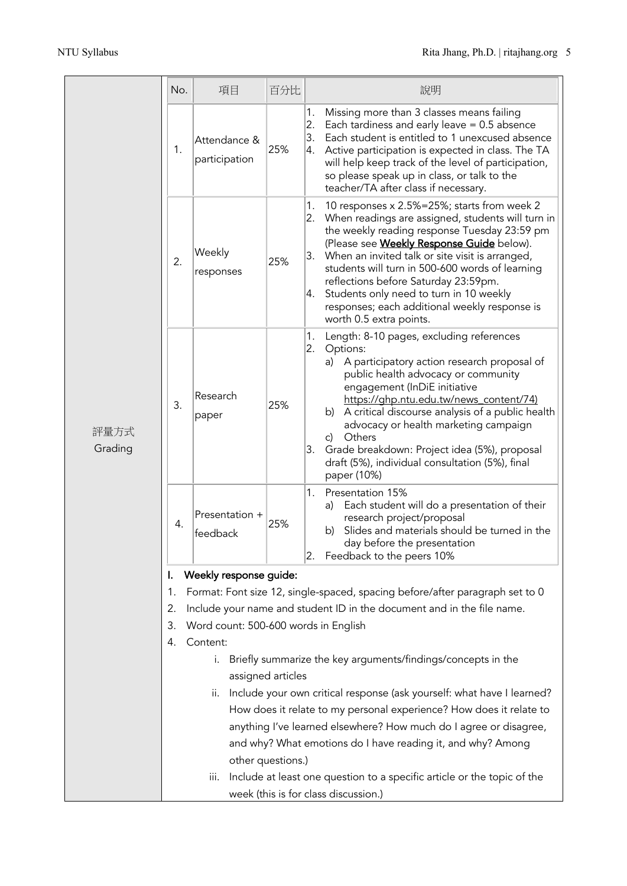|                 | No.                                                                                                                                                                                                     | 項目                            | 百分比 | 說明                                                                                                                                                                                                                                                                                                                                                                                                                                                                                                |  |  |                                                                                                      |  |  |  |
|-----------------|---------------------------------------------------------------------------------------------------------------------------------------------------------------------------------------------------------|-------------------------------|-----|---------------------------------------------------------------------------------------------------------------------------------------------------------------------------------------------------------------------------------------------------------------------------------------------------------------------------------------------------------------------------------------------------------------------------------------------------------------------------------------------------|--|--|------------------------------------------------------------------------------------------------------|--|--|--|
| 評量方式<br>Grading | 1.                                                                                                                                                                                                      | Attendance &<br>participation | 25% | Missing more than 3 classes means failing<br>1.<br>2.<br>Each tardiness and early leave $= 0.5$ absence<br>3.<br>Each student is entitled to 1 unexcused absence<br>Active participation is expected in class. The TA<br>4.<br>will help keep track of the level of participation,<br>so please speak up in class, or talk to the<br>teacher/TA after class if necessary.                                                                                                                         |  |  |                                                                                                      |  |  |  |
|                 | 2.                                                                                                                                                                                                      | Weekly<br>responses           | 25% | 1.<br>10 responses x 2.5%=25%; starts from week 2<br>2.<br>When readings are assigned, students will turn in<br>the weekly reading response Tuesday 23:59 pm<br>(Please see <b>Weekly Response Guide</b> below).<br>3.<br>When an invited talk or site visit is arranged,<br>students will turn in 500-600 words of learning<br>reflections before Saturday 23:59pm.<br>Students only need to turn in 10 weekly<br>4.<br>responses; each additional weekly response is<br>worth 0.5 extra points. |  |  |                                                                                                      |  |  |  |
|                 | 3.                                                                                                                                                                                                      | Research<br>paper             | 25% | 1.<br>Length: 8-10 pages, excluding references<br>2. Options:<br>a) A participatory action research proposal of<br>public health advocacy or community<br>engagement (InDiE initiative<br>https://ghp.ntu.edu.tw/news_content/74)<br>b) A critical discourse analysis of a public health<br>advocacy or health marketing campaign<br>Others<br>c)<br>3. Grade breakdown: Project idea (5%), proposal<br>draft (5%), individual consultation (5%), final<br>paper (10%)                            |  |  |                                                                                                      |  |  |  |
|                 | 4.                                                                                                                                                                                                      | Presentation +<br>feedback    | 25% | 1.<br>Presentation 15%<br>Each student will do a presentation of their<br>a)<br>research project/proposal<br>Slides and materials should be turned in the<br>b)<br>day before the presentation<br>Feedback to the peers 10%<br>2.                                                                                                                                                                                                                                                                 |  |  |                                                                                                      |  |  |  |
|                 | Weekly response guide:<br>Ι.                                                                                                                                                                            |                               |     |                                                                                                                                                                                                                                                                                                                                                                                                                                                                                                   |  |  |                                                                                                      |  |  |  |
|                 | Format: Font size 12, single-spaced, spacing before/after paragraph set to 0<br>1.                                                                                                                      |                               |     |                                                                                                                                                                                                                                                                                                                                                                                                                                                                                                   |  |  |                                                                                                      |  |  |  |
|                 | Include your name and student ID in the document and in the file name.<br>2.<br>Word count: 500-600 words in English<br>3.                                                                              |                               |     |                                                                                                                                                                                                                                                                                                                                                                                                                                                                                                   |  |  |                                                                                                      |  |  |  |
|                 | 4.                                                                                                                                                                                                      | Content:                      |     |                                                                                                                                                                                                                                                                                                                                                                                                                                                                                                   |  |  |                                                                                                      |  |  |  |
|                 | Briefly summarize the key arguments/findings/concepts in the<br>i.                                                                                                                                      |                               |     |                                                                                                                                                                                                                                                                                                                                                                                                                                                                                                   |  |  |                                                                                                      |  |  |  |
|                 | assigned articles<br>Include your own critical response (ask yourself: what have I learned?<br>Π.                                                                                                       |                               |     |                                                                                                                                                                                                                                                                                                                                                                                                                                                                                                   |  |  |                                                                                                      |  |  |  |
|                 | How does it relate to my personal experience? How does it relate to<br>anything I've learned elsewhere? How much do I agree or disagree,<br>and why? What emotions do I have reading it, and why? Among |                               |     |                                                                                                                                                                                                                                                                                                                                                                                                                                                                                                   |  |  |                                                                                                      |  |  |  |
|                 |                                                                                                                                                                                                         |                               |     |                                                                                                                                                                                                                                                                                                                                                                                                                                                                                                   |  |  | other questions.)<br>Include at least one question to a specific article or the topic of the<br>iii. |  |  |  |
|                 |                                                                                                                                                                                                         |                               |     |                                                                                                                                                                                                                                                                                                                                                                                                                                                                                                   |  |  | week (this is for class discussion.)                                                                 |  |  |  |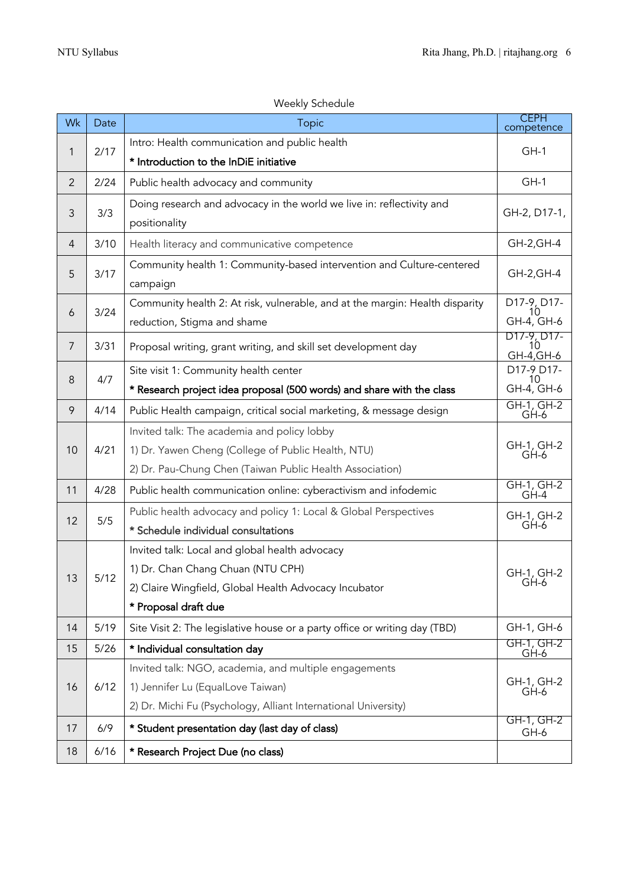|                |      | <b><i>IVECNIY JUILLUATE</i></b>                                              |                                 |
|----------------|------|------------------------------------------------------------------------------|---------------------------------|
| Wk             | Date | <b>CEPH</b><br><b>Topic</b><br>competence                                    |                                 |
| 2/17<br>1      |      | Intro: Health communication and public health                                | $GH-1$                          |
|                |      | * Introduction to the InDiE initiative                                       |                                 |
| $\overline{2}$ | 2/24 | Public health advocacy and community                                         | $GH-1$                          |
|                |      | Doing research and advocacy in the world we live in: reflectivity and        | GH-2, D17-1,                    |
| 3/3<br>3       |      | positionality                                                                |                                 |
| $\overline{4}$ | 3/10 | Health literacy and communicative competence                                 | GH-2, GH-4                      |
| 5              | 3/17 | Community health 1: Community-based intervention and Culture-centered        | GH-2, GH-4                      |
|                |      | campaign                                                                     |                                 |
| 6              | 3/24 | Community health 2: At risk, vulnerable, and at the margin: Health disparity | D17-9, D17-<br>10               |
|                |      | reduction, Stigma and shame                                                  | GH-4, GH-6                      |
| 7              | 3/31 | Proposal writing, grant writing, and skill set development day               | D17-9, D17-<br>10<br>GH-4, GH-6 |
|                |      | Site visit 1: Community health center                                        | D17-9 D17-                      |
| 4/7<br>8       |      | * Research project idea proposal (500 words) and share with the class        | 10<br>GH-4, GH-6                |
| 9              | 4/14 | Public Health campaign, critical social marketing, & message design          | GH-1, GH-2<br>GH-6              |
|                |      | Invited talk: The academia and policy lobby                                  |                                 |
| 10             | 4/21 | 1) Dr. Yawen Cheng (College of Public Health, NTU)                           | GH-1, GH-2<br>GH-6              |
|                |      | 2) Dr. Pau-Chung Chen (Taiwan Public Health Association)                     |                                 |
| 11             | 4/28 | Public health communication online: cyberactivism and infodemic              | GH-1, GH-2<br>GH-4              |
|                |      | Public health advocacy and policy 1: Local & Global Perspectives             | GH-1, GH-2                      |
| 5/5<br>12      |      | * Schedule individual consultations                                          | $GH-6$                          |
|                |      | Invited talk: Local and global health advocacy                               |                                 |
| 13             | 5/12 | 1) Dr. Chan Chang Chuan (NTU CPH)                                            | GH-1, GH-2<br>GH-6              |
|                |      | 2) Claire Wingfield, Global Health Advocacy Incubator                        |                                 |
|                |      | * Proposal draft due                                                         |                                 |
| 14             | 5/19 | Site Visit 2: The legislative house or a party office or writing day (TBD)   | GH-1, GH-6                      |
| 15             | 5/26 | * Individual consultation day                                                | GH-1, GH-2<br>GH-6              |
|                |      | Invited talk: NGO, academia, and multiple engagements                        |                                 |
| 16             | 6/12 | 1) Jennifer Lu (EqualLove Taiwan)                                            | GH-1, GH-2<br>GH-6              |
|                |      | 2) Dr. Michi Fu (Psychology, Alliant International University)               |                                 |
| 17             | 6/9  | * Student presentation day (last day of class)                               | GH-1, GH-2<br>GH-6              |
| 18             | 6/16 | * Research Project Due (no class)                                            |                                 |

### Weekly Schedule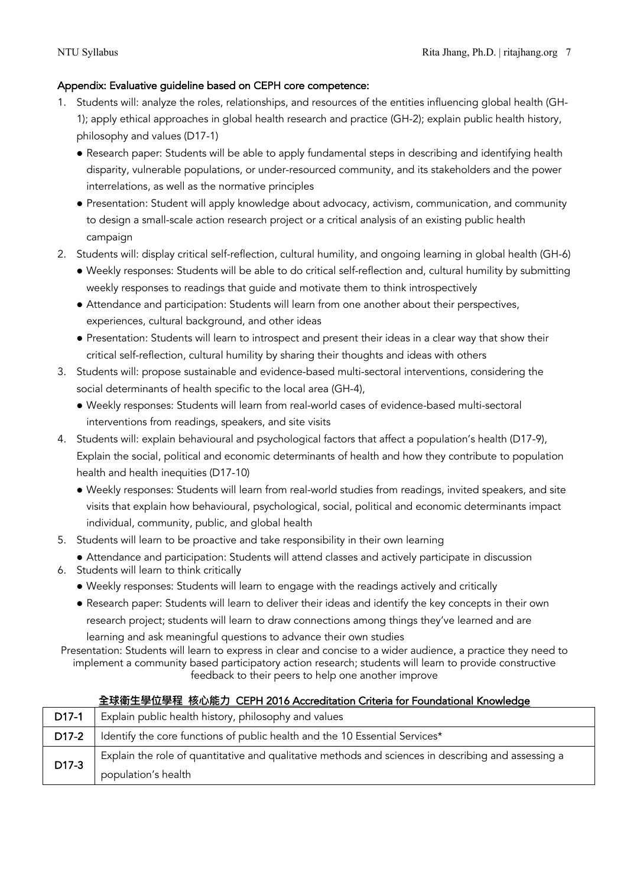#### Appendix: Evaluative guideline based on CEPH core competence:

- 1. Students will: analyze the roles, relationships, and resources of the entities influencing global health (GH-1); apply ethical approaches in global health research and practice (GH-2); explain public health history, philosophy and values (D17-1)
	- Research paper: Students will be able to apply fundamental steps in describing and identifying health disparity, vulnerable populations, or under-resourced community, and its stakeholders and the power interrelations, as well as the normative principles
	- Presentation: Student will apply knowledge about advocacy, activism, communication, and community to design a small-scale action research project or a critical analysis of an existing public health campaign
- 2. Students will: display critical self-reflection, cultural humility, and ongoing learning in global health (GH-6)
	- l Weekly responses: Students will be able to do critical self-reflection and, cultural humility by submitting weekly responses to readings that guide and motivate them to think introspectively
	- Attendance and participation: Students will learn from one another about their perspectives, experiences, cultural background, and other ideas
	- Presentation: Students will learn to introspect and present their ideas in a clear way that show their critical self-reflection, cultural humility by sharing their thoughts and ideas with others
- 3. Students will: propose sustainable and evidence-based multi-sectoral interventions, considering the social determinants of health specific to the local area (GH-4),
	- l Weekly responses: Students will learn from real-world cases of evidence-based multi-sectoral interventions from readings, speakers, and site visits
- 4. Students will: explain behavioural and psychological factors that affect a population's health (D17-9), Explain the social, political and economic determinants of health and how they contribute to population health and health inequities (D17-10)
	- l Weekly responses: Students will learn from real-world studies from readings, invited speakers, and site visits that explain how behavioural, psychological, social, political and economic determinants impact individual, community, public, and global health
- 5. Students will learn to be proactive and take responsibility in their own learning

• Attendance and participation: Students will attend classes and actively participate in discussion

- 6. Students will learn to think critically
	- Weekly responses: Students will learn to engage with the readings actively and critically
	- Research paper: Students will learn to deliver their ideas and identify the key concepts in their own research project; students will learn to draw connections among things they've learned and are learning and ask meaningful questions to advance their own studies

Presentation: Students will learn to express in clear and concise to a wider audience, a practice they need to implement a community based participatory action research; students will learn to provide constructive feedback to their peers to help one another improve

#### **全球衛⽣學位學程 核⼼能⼒** CEPH 2016 Accreditation Criteria for Foundational Knowledge

| D17-1              | Explain public health history, philosophy and values                                                |
|--------------------|-----------------------------------------------------------------------------------------------------|
| D <sub>17</sub> -2 | Identify the core functions of public health and the 10 Essential Services*                         |
| D17-3              | Explain the role of quantitative and qualitative methods and sciences in describing and assessing a |
|                    | population's health                                                                                 |